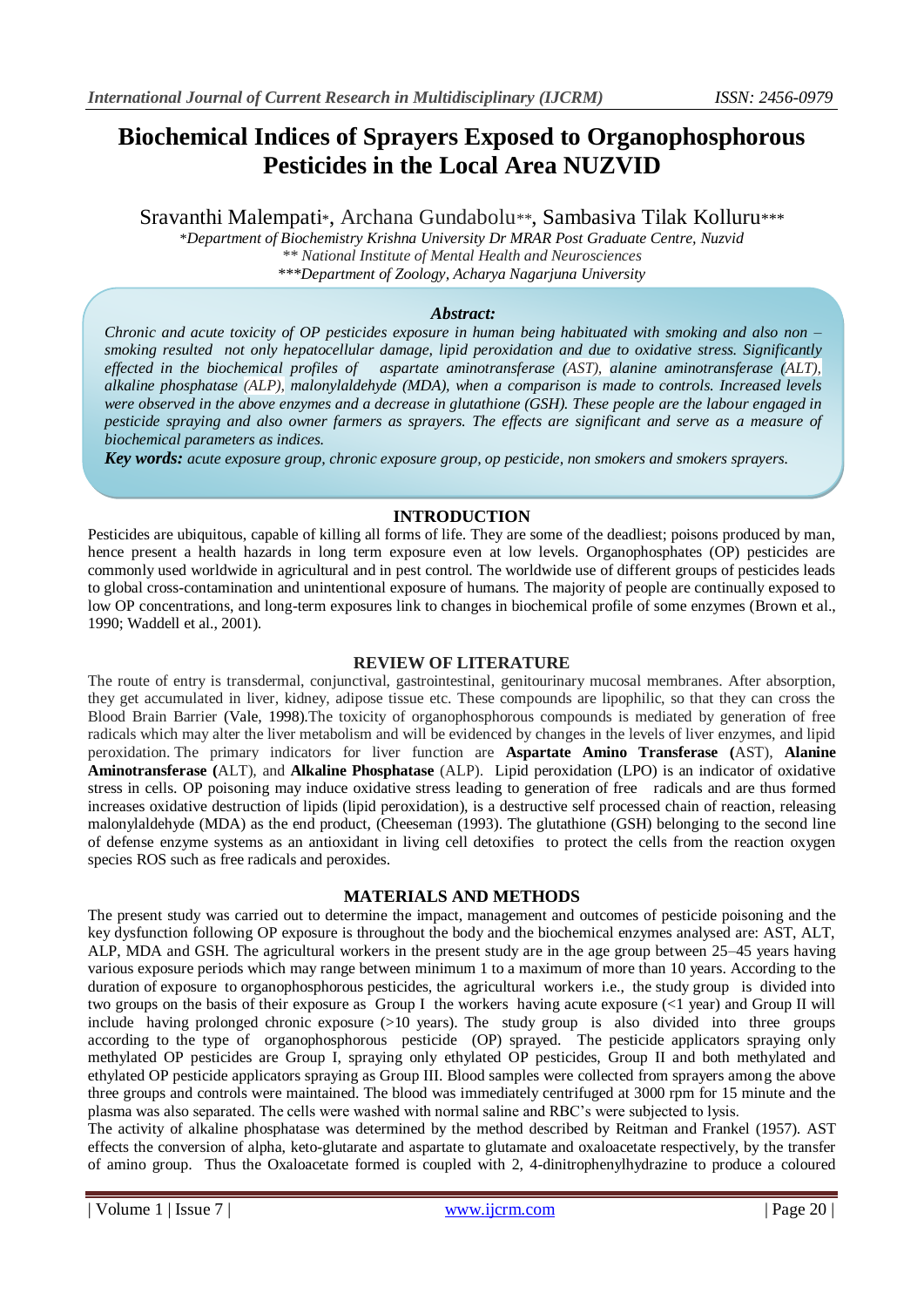# **Biochemical Indices of Sprayers Exposed to Organophosphorous Pesticides in the Local Area NUZVID**

Sravanthi Malempati\*, Archana Gundabolu*\*\**, Sambasiva Tilak Kolluru*\*\*\**

\**Department of Biochemistry Krishna University Dr MRAR Post Graduate Centre, Nuzvid \*\* National Institute of Mental Health and Neurosciences \*\*\*Department of Zoology, Acharya Nagarjuna University* 

### *Abstract:*

*Chronic and acute toxicity of OP pesticides exposure in human being habituated with smoking and also non – smoking resulted not only hepatocellular damage, lipid peroxidation and due to oxidative stress. Significantly effected in the biochemical profiles of aspartate aminotransferase (AST), alanine aminotransferase (ALT), alkaline phosphatase (ALP), malonylaldehyde (MDA), when a comparison is made to controls. Increased levels were observed in the above enzymes and a decrease in glutathione (GSH). These people are the labour engaged in pesticide spraying and also owner farmers as sprayers. The effects are significant and serve as a measure of biochemical parameters as indices.* 

*Key words: acute exposure group, chronic exposure group, op pesticide, non smokers and smokers sprayers.*

## **INTRODUCTION**

Pesticides are ubiquitous, capable of killing all forms of life. They are some of the deadliest; poisons produced by man, hence present a health hazards in long term exposure even at low levels. Organophosphates (OP) pesticides are commonly used worldwide in agricultural and in pest control. The worldwide use of different groups of pesticides leads to global cross-contamination and unintentional exposure of humans. The majority of people are continually exposed to low OP concentrations, and long-term exposures link to changes in biochemical profile of some enzymes (Brown et al., 1990; Waddell et al., 2001).

#### **REVIEW OF LITERATURE**

The route of entry is transdermal, conjunctival, gastrointestinal, genitourinary mucosal membranes. After absorption, they get accumulated in liver, kidney, adipose tissue etc. These compounds are lipophilic, so that they can cross the Blood Brain Barrier (Vale, 1998).The toxicity of organophosphorous compounds is mediated by generation of free radicals which may alter the liver metabolism and will be evidenced by changes in the levels of liver enzymes, and lipid peroxidation. The primary indicators for liver function are **Aspartate Amino Transferase (**AST), **Alanine Aminotransferase (**ALT), and **Alkaline Phosphatase** (ALP). Lipid peroxidation (LPO) is an indicator of oxidative stress in cells. OP poisoning may induce oxidative stress leading to generation of free radicals and are thus formed increases oxidative destruction of lipids (lipid peroxidation), is a destructive self processed chain of reaction, releasing malonylaldehyde (MDA) as the end product, (Cheeseman (1993). The glutathione (GSH) belonging to the second line of defense enzyme systems as an antioxidant in living cell detoxifies to protect the cells from the reaction oxygen species ROS such as free radicals and peroxides.

## **MATERIALS AND METHODS**

The present study was carried out to determine the impact, management and outcomes of pesticide poisoning and the key dysfunction following OP exposure is throughout the body and the biochemical enzymes analysed are: AST, ALT, ALP, MDA and GSH. The agricultural workers in the present study are in the age group between 25–45 years having various exposure periods which may range between minimum 1 to a maximum of more than 10 years. According to the duration of exposure to organophosphorous pesticides, the agricultural workers i.e., the study group is divided into two groups on the basis of their exposure as Group I the workers having acute exposure (<1 year) and Group II will include having prolonged chronic exposure  $(>10 \text{ years})$ . The study group is also divided into three groups according to the type of organophosphorous pesticide (OP) sprayed. The pesticide applicators spraying only methylated OP pesticides are Group I, spraying only ethylated OP pesticides, Group II and both methylated and ethylated OP pesticide applicators spraying as Group III. Blood samples were collected from sprayers among the above three groups and controls were maintained. The blood was immediately centrifuged at 3000 rpm for 15 minute and the plasma was also separated. The cells were washed with normal saline and RBC's were subjected to lysis.

The activity of alkaline phosphatase was determined by the method described by Reitman and Frankel (1957). AST effects the conversion of alpha, keto-glutarate and aspartate to glutamate and oxaloacetate respectively, by the transfer of amino group. Thus the Oxaloacetate formed is coupled with 2, 4-dinitrophenylhydrazine to produce a coloured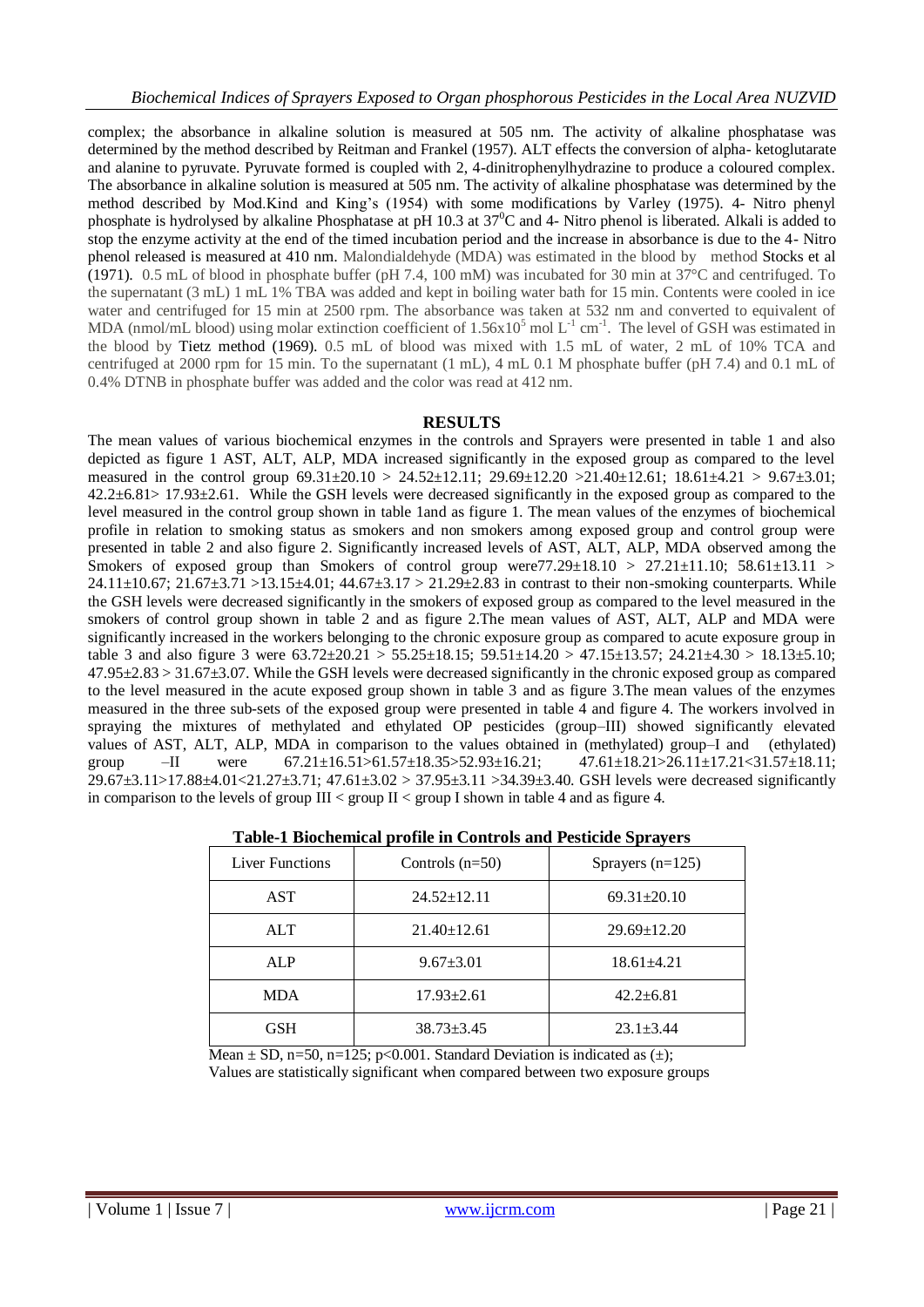complex; the absorbance in alkaline solution is measured at 505 nm. The activity of alkaline phosphatase was determined by the method described by Reitman and Frankel (1957). ALT effects the conversion of alpha- ketoglutarate and alanine to pyruvate. Pyruvate formed is coupled with 2, 4-dinitrophenylhydrazine to produce a coloured complex. The absorbance in alkaline solution is measured at 505 nm. The activity of alkaline phosphatase was determined by the method described by Mod.Kind and King's (1954) with some modifications by Varley (1975). 4- Nitro phenyl phosphate is hydrolysed by alkaline Phosphatase at pH 10.3 at  $37^0C$  and 4- Nitro phenol is liberated. Alkali is added to stop the enzyme activity at the end of the timed incubation period and the increase in absorbance is due to the 4- Nitro phenol released is measured at 410 nm. Malondialdehyde (MDA) was estimated in the blood by method Stocks et al (1971). 0.5 mL of blood in phosphate buffer (pH 7.4, 100 mM) was incubated for 30 min at 37°C and centrifuged. To the supernatant (3 mL) 1 mL 1% TBA was added and kept in boiling water bath for 15 min. Contents were cooled in ice water and centrifuged for 15 min at 2500 rpm. The absorbance was taken at 532 nm and converted to equivalent of MDA (nmol/mL blood) using molar extinction coefficient of  $1.56x10^5$  mol L<sup>-1</sup> cm<sup>-1</sup>. The level of GSH was estimated in the blood by Tietz method (1969). 0.5 mL of blood was mixed with 1.5 mL of water, 2 mL of 10% TCA and centrifuged at 2000 rpm for 15 min. To the supernatant (1 mL), 4 mL 0.1 M phosphate buffer (pH 7.4) and 0.1 mL of 0.4% DTNB in phosphate buffer was added and the color was read at 412 nm.

#### **RESULTS**

The mean values of various biochemical enzymes in the controls and Sprayers were presented in table 1 and also depicted as figure 1 AST, ALT, ALP, MDA increased significantly in the exposed group as compared to the level measured in the control group 69.31±20.10 > 24.52±12.11; 29.69±12.20 >21.40±12.61; 18.61±4.21 > 9.67±3.01;  $42.2\pm6.81>17.93\pm2.61$ . While the GSH levels were decreased significantly in the exposed group as compared to the level measured in the control group shown in table 1and as figure 1. The mean values of the enzymes of biochemical profile in relation to smoking status as smokers and non smokers among exposed group and control group were presented in table 2 and also figure 2. Significantly increased levels of AST, ALT, ALP, MDA observed among the Smokers of exposed group than Smokers of control group were77.29 $\pm$ 18.10 > 27.21 $\pm$ 11.10; 58.61 $\pm$ 13.11 > 24.11 $\pm$ 10.67; 21.67 $\pm$ 3.71 >13.15 $\pm$ 4.01; 44.67 $\pm$ 3.17 > 21.29 $\pm$ 2.83 in contrast to their non-smoking counterparts. While the GSH levels were decreased significantly in the smokers of exposed group as compared to the level measured in the smokers of control group shown in table 2 and as figure 2.The mean values of AST, ALT, ALP and MDA were significantly increased in the workers belonging to the chronic exposure group as compared to acute exposure group in table 3 and also figure 3 were  $63.72 \pm 20.21 > 55.25 \pm 18.15$ ;  $59.51 \pm 14.20 > 47.15 \pm 13.57$ ;  $24.21 \pm 4.30 > 18.13 \pm 5.10$ ;  $47.95\pm2.83 > 31.67\pm3.07$ . While the GSH levels were decreased significantly in the chronic exposed group as compared to the level measured in the acute exposed group shown in table 3 and as figure 3.The mean values of the enzymes measured in the three sub-sets of the exposed group were presented in table 4 and figure 4. The workers involved in spraying the mixtures of methylated and ethylated OP pesticides (group–III) showed significantly elevated values of AST, ALT, ALP, MDA in comparison to the values obtained in (methylated) group–I and (ethylated) group –II were 67.21±16.51>61.57±18.35>52.93±16.21; 47.61±18.21>26.11±17.21<31.57±18.11; 29.67±3.11>17.88±4.01<21.27±3.71; 47.61±3.02 > 37.95±3.11 >34.39±3.40. GSH levels were decreased significantly in comparison to the levels of group  $III <$  group  $II <$  group I shown in table 4 and as figure 4.

| Liver Functions | Controls $(n=50)$ | Sprayers $(n=125)$ |
|-----------------|-------------------|--------------------|
| AST             | $24.52 \pm 12.11$ | $69.31 \pm 20.10$  |
| <b>ALT</b>      | $21.40 \pm 12.61$ | $29.69 \pm 12.20$  |
| <b>ALP</b>      | $9.67 \pm 3.01$   | $18.61 \pm 4.21$   |
| <b>MDA</b>      | $17.93 \pm 2.61$  | $42.2 \pm 6.81$    |
| GSH             | $38.73 + 3.45$    | $23.1 \pm 3.44$    |

| Table-1 Biochemical profile in Controls and Pesticide Sprayers |  |  |  |
|----------------------------------------------------------------|--|--|--|
|----------------------------------------------------------------|--|--|--|

Mean  $\pm$  SD, n=50, n=125; p<0.001. Standard Deviation is indicated as  $(\pm)$ ; Values are statistically significant when compared between two exposure groups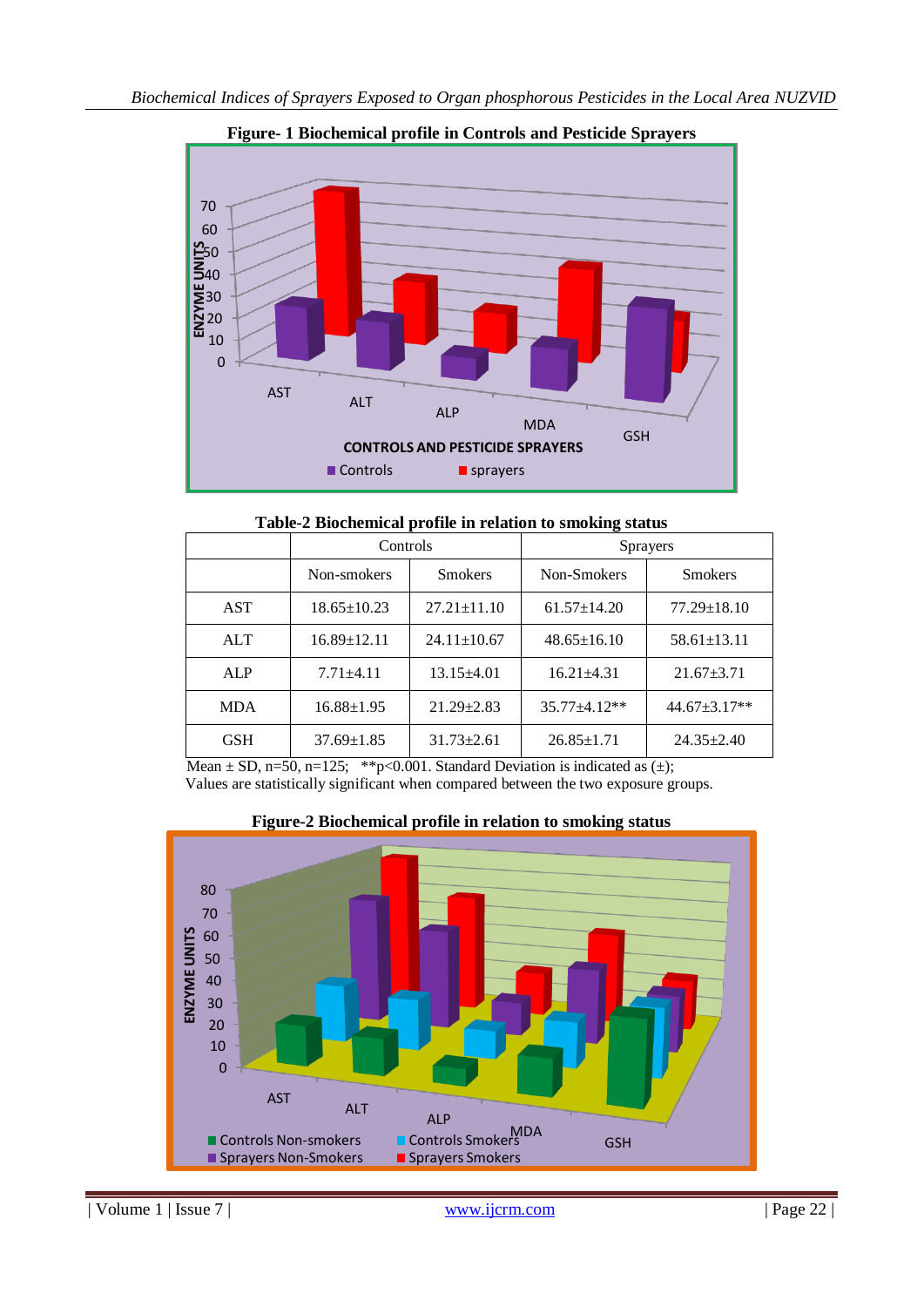

**Figure- 1 Biochemical profile in Controls and Pesticide Sprayers**

**Table-2 Biochemical profile in relation to smoking status**

|            | Controls          |                   | <b>Sprayers</b>   |                   |
|------------|-------------------|-------------------|-------------------|-------------------|
|            | Non-smokers       | <b>Smokers</b>    | Non-Smokers       | <b>Smokers</b>    |
| <b>AST</b> | $18.65 \pm 10.23$ | $27.21 \pm 11.10$ | $61.57 \pm 14.20$ | $77.29 \pm 18.10$ |
| <b>ALT</b> | $16.89 \pm 12.11$ | $24.11 \pm 10.67$ | $48.65 \pm 16.10$ | $58.61 \pm 13.11$ |
| ALP        | $7.71 + 4.11$     | $13.15\pm4.01$    | $16.21 \pm 4.31$  | $21.67 \pm 3.71$  |
| <b>MDA</b> | $16.88 \pm 1.95$  | $21.29 \pm 2.83$  | $35.77 + 4.12**$  | $44.67 + 3.17**$  |
| <b>GSH</b> | $37.69 \pm 1.85$  | $31.73 \pm 2.61$  | $26.85 \pm 1.71$  | $24.35 + 2.40$    |

Mean  $\pm$  SD, n=50, n=125; \*\*p<0.001. Standard Deviation is indicated as ( $\pm$ ); Values are statistically significant when compared between the two exposure groups.

**Figure-2 Biochemical profile in relation to smoking status**

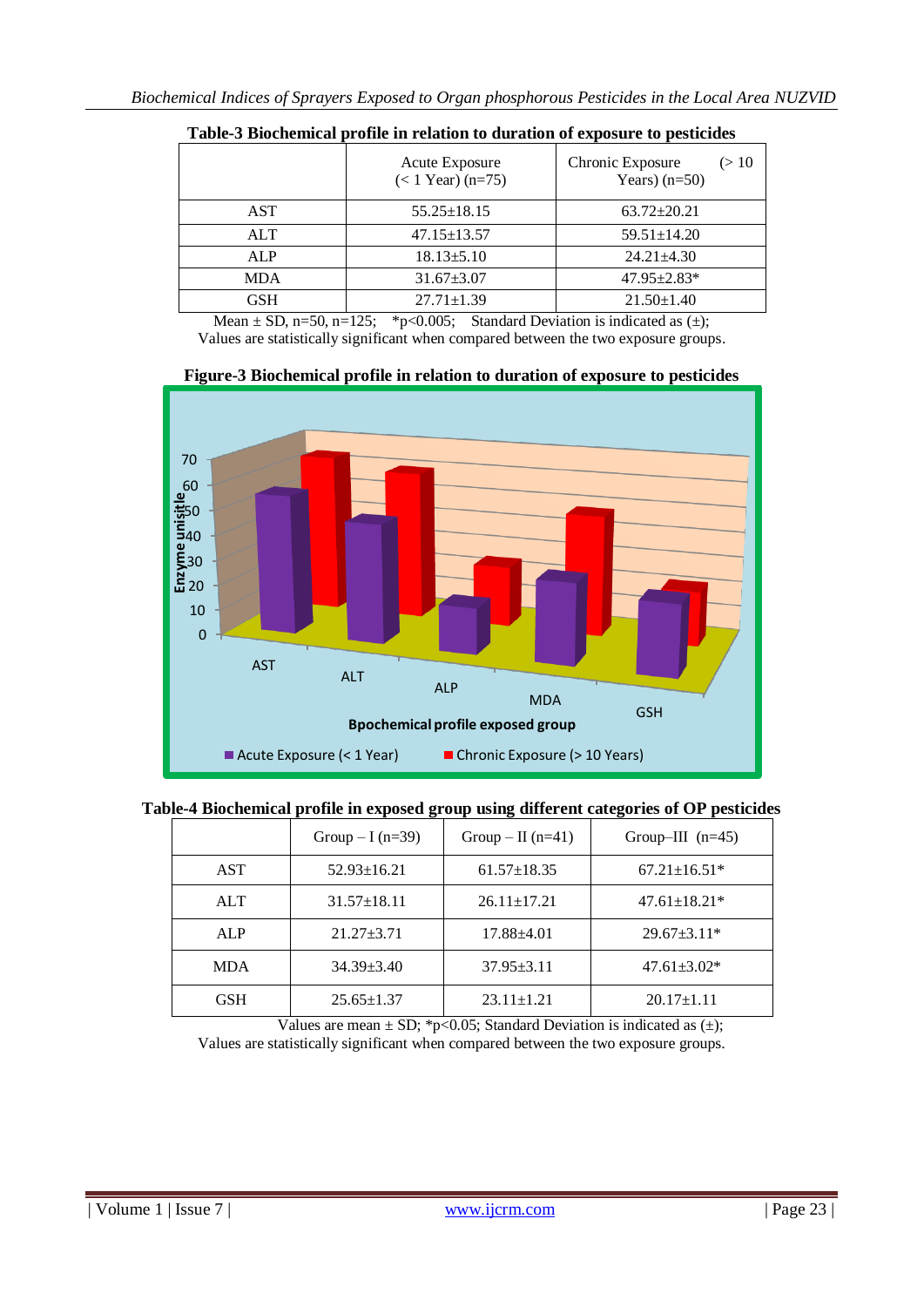| Chronic Exposure<br>(> 10 |
|---------------------------|
| Years) $(n=50)$           |
| $63.72 \pm 20.21$         |
| $59.51 \pm 14.20$         |
| $24.21 \pm 4.30$          |
| $47.95 \pm 2.83*$         |
| $21.50 \pm 1.40$          |
|                           |

**Table-3 Biochemical profile in relation to duration of exposure to pesticides**

Mean  $\pm$  SD, n=50, n=125; \*p<0.005; Standard Deviation is indicated as  $(\pm)$ ; Values are statistically significant when compared between the two exposure groups.



**Figure-3 Biochemical profile in relation to duration of exposure to pesticides**

| Table-4 Biochemical profile in exposed group using different categories of OP pesticides |
|------------------------------------------------------------------------------------------|
|------------------------------------------------------------------------------------------|

|            | Group $-I(n=39)$  | Group – II $(n=41)$ | Group-III $(n=45)$ |
|------------|-------------------|---------------------|--------------------|
| <b>AST</b> | $52.93 \pm 16.21$ | $61.57 \pm 18.35$   | $67.21 \pm 16.51*$ |
| <b>ALT</b> | $31.57 \pm 18.11$ | $26.11 \pm 17.21$   | $47.61 \pm 18.21*$ |
| <b>ALP</b> | $21.27 + 3.71$    | $17.88\pm4.01$      | $29.67 \pm 3.11*$  |
| <b>MDA</b> | $34.39 + 3.40$    | $37.95 \pm 3.11$    | $47.61 \pm 3.02*$  |
| <b>GSH</b> | $25.65 \pm 1.37$  | $23.11 \pm 1.21$    | $20.17 \pm 1.11$   |

Values are mean  $\pm$  SD; \*p<0.05; Standard Deviation is indicated as ( $\pm$ );

Values are statistically significant when compared between the two exposure groups.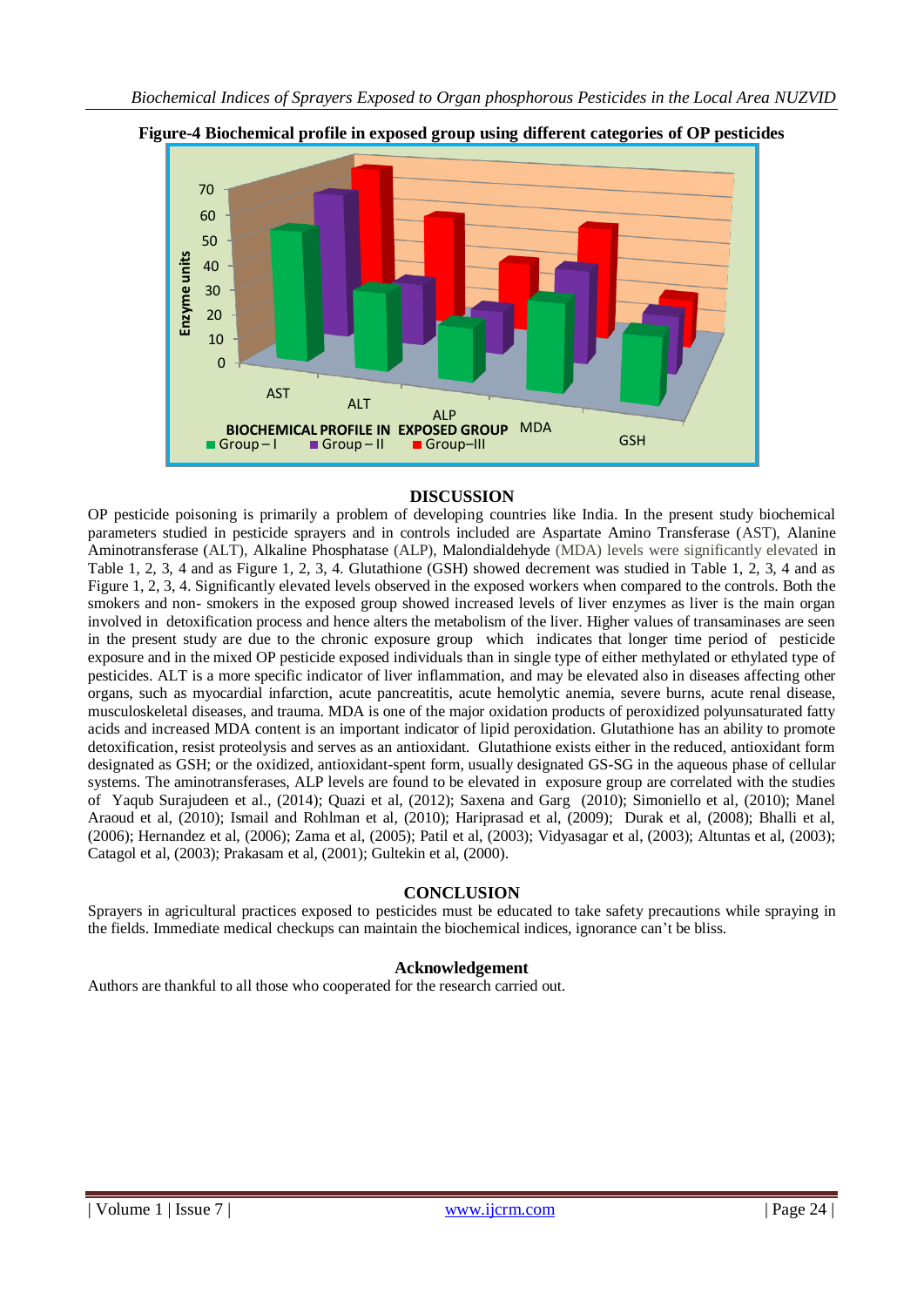

**Figure-4 Biochemical profile in exposed group using different categories of OP pesticides**

## **DISCUSSION**

OP pesticide poisoning is primarily a problem of developing countries like India. In the present study biochemical parameters studied in pesticide sprayers and in controls included are Aspartate Amino Transferase (AST), Alanine Aminotransferase (ALT), Alkaline Phosphatase (ALP), Malondialdehyde (MDA) levels were significantly elevated in Table 1, 2, 3, 4 and as Figure 1, 2, 3, 4. Glutathione (GSH) showed decrement was studied in Table 1, 2, 3, 4 and as Figure 1, 2, 3, 4. Significantly elevated levels observed in the exposed workers when compared to the controls. Both the smokers and non- smokers in the exposed group showed increased levels of liver enzymes as liver is the main organ involved in detoxification process and hence alters the metabolism of the liver. Higher values of transaminases are seen in the present study are due to the chronic exposure group which indicates that longer time period of pesticide exposure and in the mixed OP pesticide exposed individuals than in single type of either methylated or ethylated type of pesticides. ALT is a more specific indicator of liver inflammation, and may be elevated also in diseases affecting other organs, such as myocardial infarction, acute pancreatitis, acute hemolytic anemia, severe burns, acute renal disease, musculoskeletal diseases, and trauma. MDA is one of the major oxidation products of peroxidized polyunsaturated fatty acids and increased MDA content is an important indicator of lipid peroxidation. Glutathione has an ability to promote detoxification, resist proteolysis and serves as an antioxidant. Glutathione exists either in the reduced, antioxidant form designated as GSH; or the oxidized, antioxidant-spent form, usually designated GS-SG in the aqueous phase of cellular systems. The aminotransferases, ALP levels are found to be elevated in exposure group are correlated with the studies of [Yaqub Surajudeen](https://www.ncbi.nlm.nih.gov/pubmed/?term=Surajudeen%20YA%5BAuthor%5D&cauthor=true&cauthor_uid=25298941) et al., (2014); Quazi et al, (2012); Saxena and Garg (2010); Simoniello et al, (2010); Manel Araoud et al, (2010); Ismail and Rohlman et al, (2010); Hariprasad et al, (2009); Durak et al, (2008); Bhalli et al, (2006); Hernandez et al, (2006); Zama et al, (2005); Patil et al, (2003); Vidyasagar et al, (2003); Altuntas et al, (2003); Catagol et al, (2003); Prakasam et al, (2001); Gultekin et al, (2000).

#### **CONCLUSION**

Sprayers in agricultural practices exposed to pesticides must be educated to take safety precautions while spraying in the fields. Immediate medical checkups can maintain the biochemical indices, ignorance can't be bliss.

#### **Acknowledgement**

Authors are thankful to all those who cooperated for the research carried out.